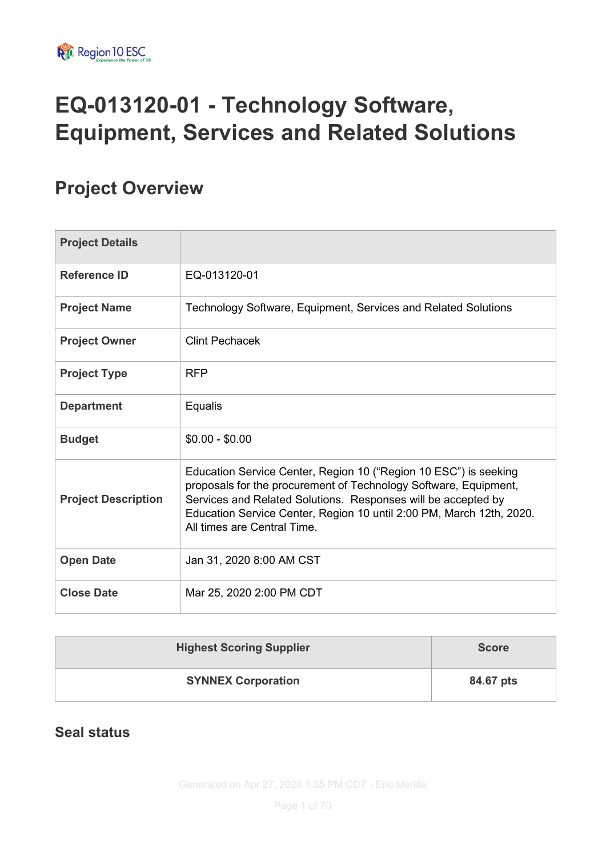# **EQ-013120-01 - Technology Software, Equipment, Services and Related Solutions**

# **Project Overview**

| <b>Project Details</b>     |                                                                                                                                                                                                                                                                                                              |
|----------------------------|--------------------------------------------------------------------------------------------------------------------------------------------------------------------------------------------------------------------------------------------------------------------------------------------------------------|
| <b>Reference ID</b>        | EQ-013120-01                                                                                                                                                                                                                                                                                                 |
| <b>Project Name</b>        | Technology Software, Equipment, Services and Related Solutions                                                                                                                                                                                                                                               |
| <b>Project Owner</b>       | <b>Clint Pechacek</b>                                                                                                                                                                                                                                                                                        |
| <b>Project Type</b>        | <b>RFP</b>                                                                                                                                                                                                                                                                                                   |
| <b>Department</b>          | Equalis                                                                                                                                                                                                                                                                                                      |
| <b>Budget</b>              | $$0.00 - $0.00$                                                                                                                                                                                                                                                                                              |
| <b>Project Description</b> | Education Service Center, Region 10 ("Region 10 ESC") is seeking<br>proposals for the procurement of Technology Software, Equipment,<br>Services and Related Solutions. Responses will be accepted by<br>Education Service Center, Region 10 until 2:00 PM, March 12th, 2020.<br>All times are Central Time. |
| <b>Open Date</b>           | Jan 31, 2020 8:00 AM CST                                                                                                                                                                                                                                                                                     |
| <b>Close Date</b>          | Mar 25, 2020 2:00 PM CDT                                                                                                                                                                                                                                                                                     |

| <b>Highest Scoring Supplier</b> | <b>Score</b> |
|---------------------------------|--------------|
| <b>SYNNEX Corporation</b>       | 84.67 pts    |

#### **Seal status**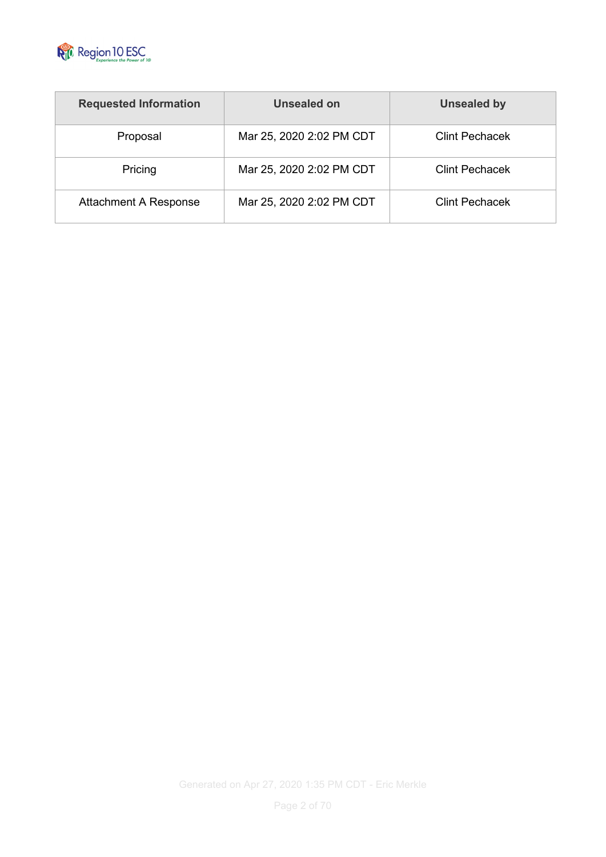

| <b>Requested Information</b> | Unsealed on              | <b>Unsealed by</b>    |
|------------------------------|--------------------------|-----------------------|
| Proposal                     | Mar 25, 2020 2:02 PM CDT | <b>Clint Pechacek</b> |
| Pricing                      | Mar 25, 2020 2:02 PM CDT | <b>Clint Pechacek</b> |
| <b>Attachment A Response</b> | Mar 25, 2020 2:02 PM CDT | <b>Clint Pechacek</b> |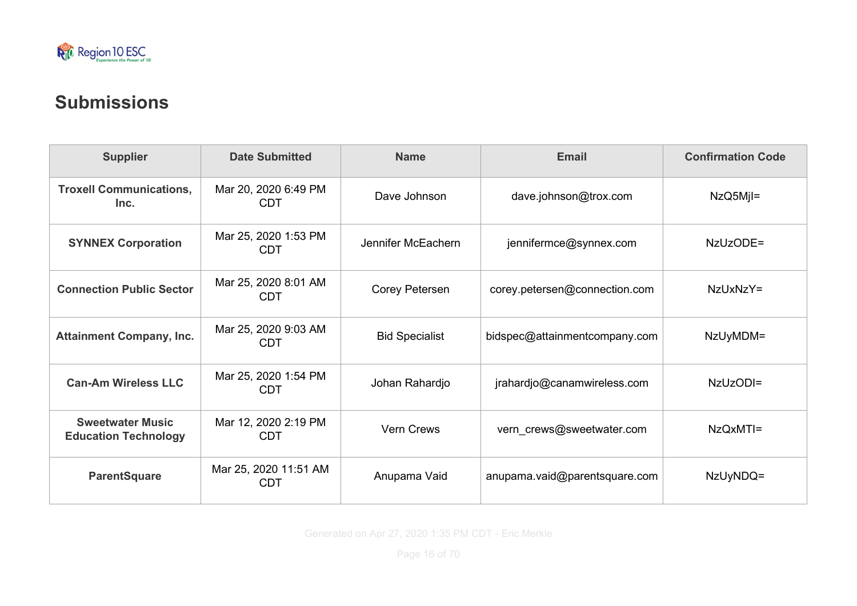

# **Submissions**

| <b>Supplier</b>                                        | <b>Date Submitted</b>               | <b>Name</b>                                  | Email                         | <b>Confirmation Code</b> |
|--------------------------------------------------------|-------------------------------------|----------------------------------------------|-------------------------------|--------------------------|
| <b>Troxell Communications,</b><br>Inc.                 | Mar 20, 2020 6:49 PM<br><b>CDT</b>  | Dave Johnson                                 | dave.johnson@trox.com         | $NzQ5MjI=$               |
| <b>SYNNEX Corporation</b>                              | Mar 25, 2020 1:53 PM<br><b>CDT</b>  | Jennifer McEachern<br>jennifermce@synnex.com |                               | NzUzODE=                 |
| <b>Connection Public Sector</b>                        | Mar 25, 2020 8:01 AM<br><b>CDT</b>  | Corey Petersen                               | corey.petersen@connection.com | NzUxNzY=                 |
| <b>Attainment Company, Inc.</b>                        | Mar 25, 2020 9:03 AM<br><b>CDT</b>  | <b>Bid Specialist</b>                        | bidspec@attainmentcompany.com | NzUyMDM=                 |
| <b>Can-Am Wireless LLC</b>                             | Mar 25, 2020 1:54 PM<br><b>CDT</b>  | Johan Rahardjo                               | jrahardjo@canamwireless.com   | NzUzODI=                 |
| <b>Sweetwater Music</b><br><b>Education Technology</b> | Mar 12, 2020 2:19 PM<br><b>CDT</b>  | <b>Vern Crews</b>                            | vern_crews@sweetwater.com     | NzQxMTI=                 |
| <b>ParentSquare</b>                                    | Mar 25, 2020 11:51 AM<br><b>CDT</b> | Anupama Vaid                                 | anupama.vaid@parentsquare.com | NzUyNDQ=                 |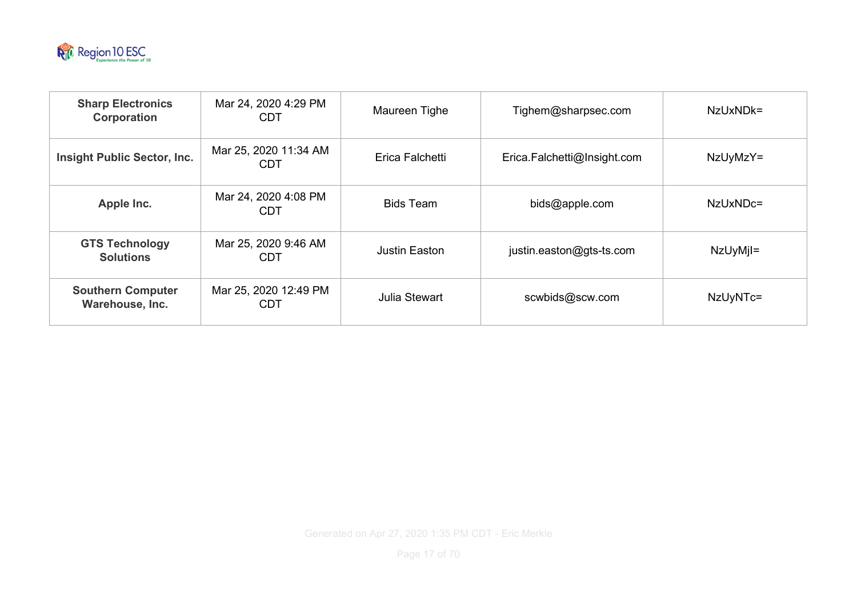

| <b>Sharp Electronics</b><br>Corporation     | Mar 24, 2020 4:29 PM<br><b>CDT</b>  | Maureen Tighe        | Tighem@sharpsec.com         | $NzUxNDk=$ |
|---------------------------------------------|-------------------------------------|----------------------|-----------------------------|------------|
| <b>Insight Public Sector, Inc.</b>          | Mar 25, 2020 11:34 AM<br><b>CDT</b> | Erica Falchetti      | Erica.Falchetti@Insight.com | NzUyMzY=   |
| Apple Inc.                                  | Mar 24, 2020 4:08 PM<br><b>CDT</b>  | <b>Bids Team</b>     | bids@apple.com              | NzUxNDc=   |
| <b>GTS Technology</b><br><b>Solutions</b>   | Mar 25, 2020 9:46 AM<br><b>CDT</b>  | <b>Justin Easton</b> | justin.easton@gts-ts.com    | NzUyMjl=   |
| <b>Southern Computer</b><br>Warehouse, Inc. | Mar 25, 2020 12:49 PM<br><b>CDT</b> | Julia Stewart        | scwbids@scw.com             | NzUyNTc=   |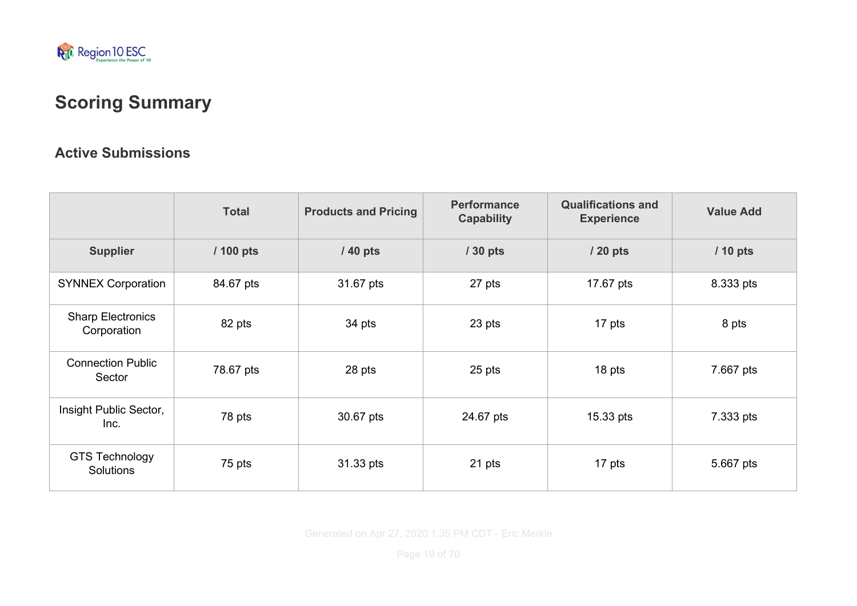

# **Scoring Summary**

#### **Active Submissions**

|                                         | <b>Total</b> | <b>Products and Pricing</b> | <b>Performance</b><br><b>Capability</b> | <b>Qualifications and</b><br><b>Experience</b> | <b>Value Add</b> |
|-----------------------------------------|--------------|-----------------------------|-----------------------------------------|------------------------------------------------|------------------|
| <b>Supplier</b>                         | / 100 pts    | / 40 pts                    | $/30$ pts                               | / 20 pts                                       | / 10 pts         |
| <b>SYNNEX Corporation</b>               | 84.67 pts    | 31.67 pts                   | 27 pts                                  | 17.67 pts                                      | 8.333 pts        |
| <b>Sharp Electronics</b><br>Corporation | 82 pts       | 34 pts                      | 23 pts                                  | 17 pts                                         | 8 pts            |
| <b>Connection Public</b><br>Sector      | 78.67 pts    | 28 pts                      | 25 pts                                  | 18 pts                                         | 7.667 pts        |
| Insight Public Sector,<br>Inc.          | 78 pts       | 30.67 pts                   | 24.67 pts                               | 15.33 pts                                      | 7.333 pts        |
| <b>GTS Technology</b><br>Solutions      | 75 pts       | 31.33 pts                   | 21 pts                                  | 17 pts                                         | 5.667 pts        |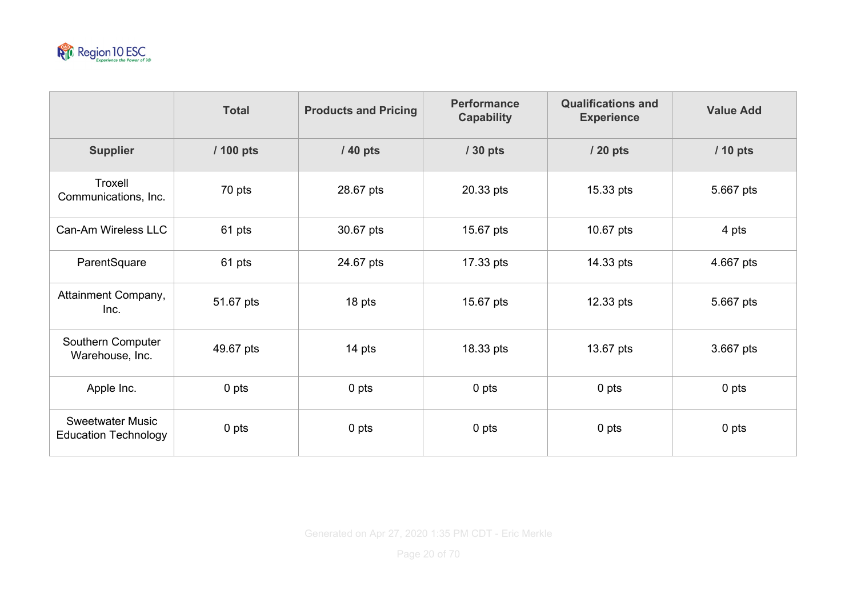

|                                                        | <b>Total</b> | <b>Products and Pricing</b> | <b>Performance</b><br><b>Capability</b> | <b>Qualifications and</b><br><b>Experience</b> | <b>Value Add</b> |
|--------------------------------------------------------|--------------|-----------------------------|-----------------------------------------|------------------------------------------------|------------------|
| <b>Supplier</b>                                        | / 100 pts    | / 40 pts                    | / 30 pts                                | / 20 pts                                       | / 10 pts         |
| Troxell<br>Communications, Inc.                        | 70 pts       | 28.67 pts                   | 20.33 pts                               | 15.33 pts                                      | 5.667 pts        |
| Can-Am Wireless LLC                                    | 61 pts       | 30.67 pts                   | 15.67 pts                               | 10.67 pts                                      | 4 pts            |
| ParentSquare                                           | 61 pts       | 24.67 pts                   | 17.33 pts                               | 14.33 pts                                      | 4.667 pts        |
| Attainment Company,<br>Inc.                            | 51.67 pts    | 18 pts                      | 15.67 pts                               | 12.33 pts                                      | 5.667 pts        |
| Southern Computer<br>Warehouse, Inc.                   | 49.67 pts    | 14 pts                      | 18.33 pts                               | 13.67 pts                                      | 3.667 pts        |
| Apple Inc.                                             | 0 pts        | 0 pts                       | 0 pts                                   | 0 pts                                          | 0 pts            |
| <b>Sweetwater Music</b><br><b>Education Technology</b> | 0 pts        | 0 pts                       | 0 pts                                   | 0 pts                                          | 0 pts            |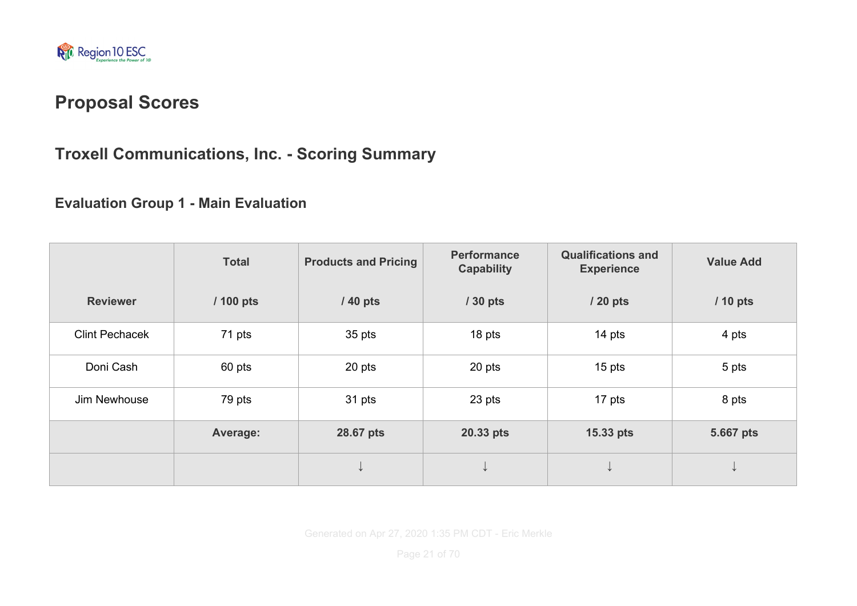

# **Proposal Scores**

# **Troxell Communications, Inc. - Scoring Summary**

#### **Evaluation Group 1 - Main Evaluation**

|                       | <b>Total</b> | <b>Products and Pricing</b> | <b>Performance</b><br><b>Capability</b> | <b>Qualifications and</b><br><b>Experience</b> | <b>Value Add</b> |
|-----------------------|--------------|-----------------------------|-----------------------------------------|------------------------------------------------|------------------|
| <b>Reviewer</b>       | / 100 pts    | / 40 pts                    | / 30 pts                                | / 20 pts                                       | / 10 pts         |
| <b>Clint Pechacek</b> | 71 pts       | 35 pts                      | 18 pts                                  | 14 pts                                         | 4 pts            |
| Doni Cash             | 60 pts       | 20 pts                      | 20 pts                                  | $15$ pts                                       | 5 pts            |
| Jim Newhouse          | 79 pts       | 31 pts                      | 23 pts                                  | 17 pts                                         | 8 pts            |
|                       | Average:     | 28.67 pts                   | 20.33 pts                               | 15.33 pts                                      | 5.667 pts        |
|                       |              |                             |                                         |                                                | ◡                |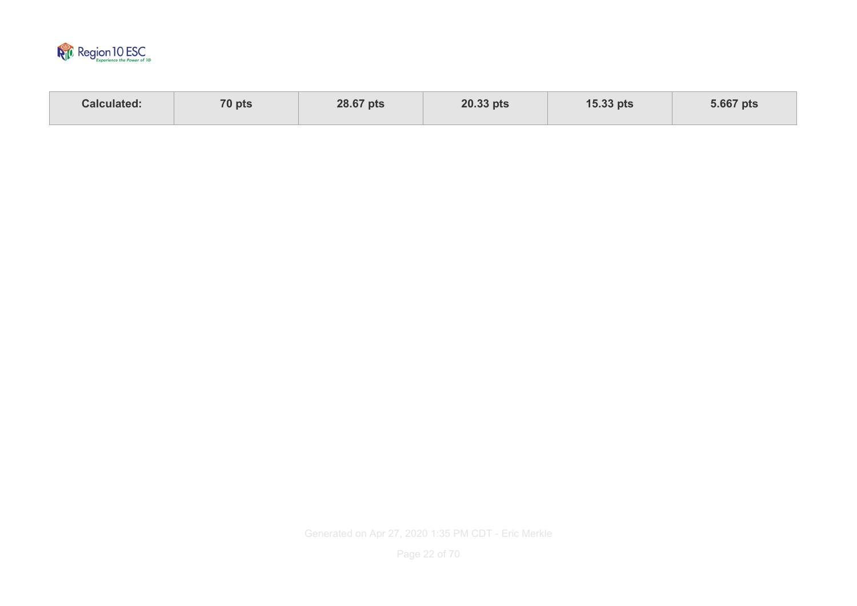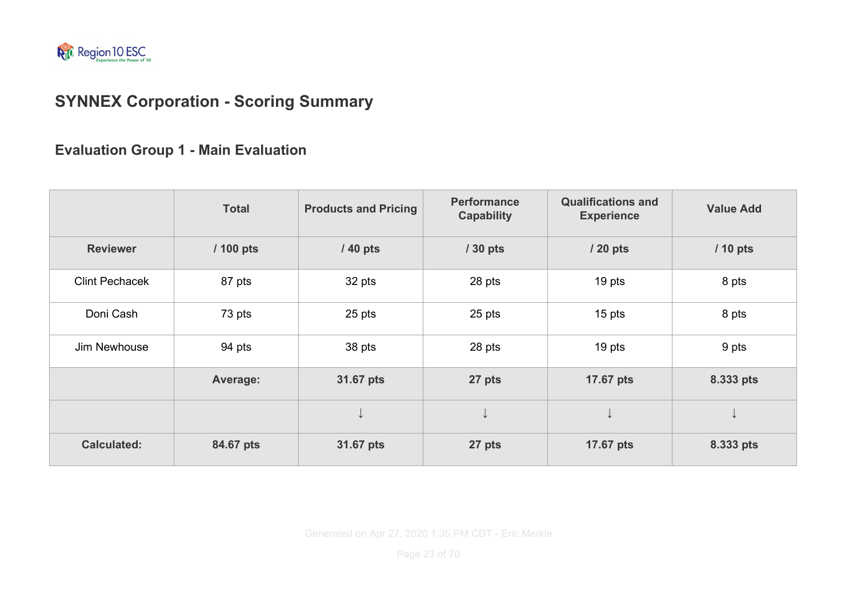

# **SYNNEX Corporation - Scoring Summary**

#### **Evaluation Group 1 - Main Evaluation**

|                       | <b>Total</b> | <b>Products and Pricing</b> | <b>Performance</b><br><b>Capability</b> | <b>Qualifications and</b><br><b>Experience</b> | <b>Value Add</b> |
|-----------------------|--------------|-----------------------------|-----------------------------------------|------------------------------------------------|------------------|
| <b>Reviewer</b>       | / 100 pts    | / 40 pts                    | / 30 pts                                | / 20 pts                                       | / 10 pts         |
| <b>Clint Pechacek</b> | 87 pts       | 32 pts                      | 28 pts                                  | 19 pts                                         | 8 pts            |
| Doni Cash             | 73 pts       | 25 pts                      | 25 pts                                  | 15 pts                                         | 8 pts            |
| Jim Newhouse          | 94 pts       | 38 pts                      | 28 pts                                  | 19 pts                                         | 9 pts            |
|                       | Average:     | 31.67 pts                   | 27 pts                                  | 17.67 pts                                      | 8.333 pts        |
|                       |              |                             | ↓                                       | ↓                                              | ╰                |
| <b>Calculated:</b>    | 84.67 pts    | 31.67 pts                   | 27 pts                                  | 17.67 pts                                      | 8.333 pts        |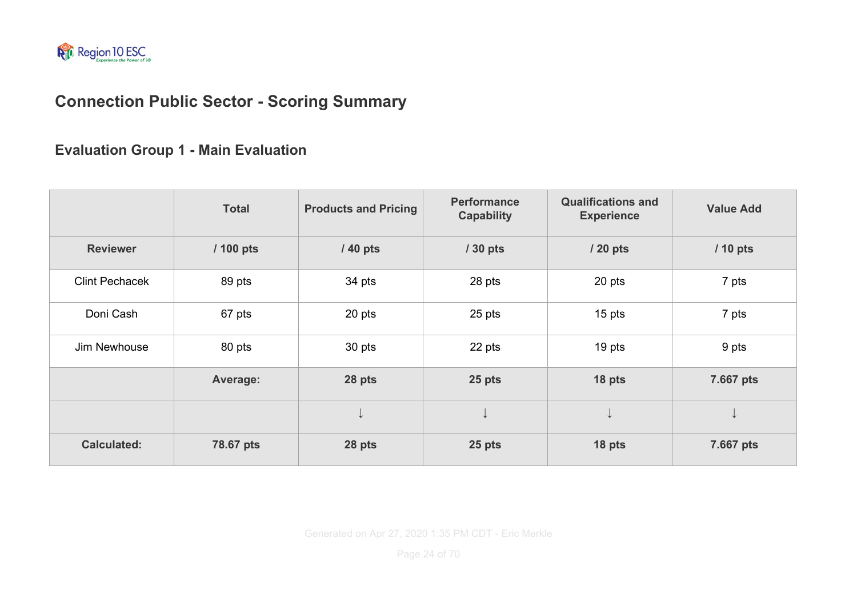

### **Connection Public Sector - Scoring Summary**

**Evaluation Group 1 - Main Evaluation**

|                       | <b>Total</b> | <b>Products and Pricing</b> | <b>Performance</b><br><b>Capability</b> | <b>Qualifications and</b><br><b>Experience</b> | <b>Value Add</b> |
|-----------------------|--------------|-----------------------------|-----------------------------------------|------------------------------------------------|------------------|
| <b>Reviewer</b>       | / 100 pts    | / 40 pts                    | / 30 pts                                | / 20 pts                                       | / 10 pts         |
| <b>Clint Pechacek</b> | 89 pts       | 34 pts                      | 28 pts                                  | 20 pts                                         | 7 pts            |
| Doni Cash             | 67 pts       | 20 pts                      | 25 pts                                  | 15 pts                                         | 7 pts            |
| Jim Newhouse          | 80 pts       | 30 pts                      | 22 pts                                  | 19 pts                                         | 9 pts            |
|                       | Average:     | 28 pts                      | 25 pts                                  | 18 pts                                         | 7.667 pts        |
|                       |              | ◡                           | ↡                                       | ↓                                              | ↓                |
| <b>Calculated:</b>    | 78.67 pts    | 28 pts                      | 25 pts                                  | 18 pts                                         | 7.667 pts        |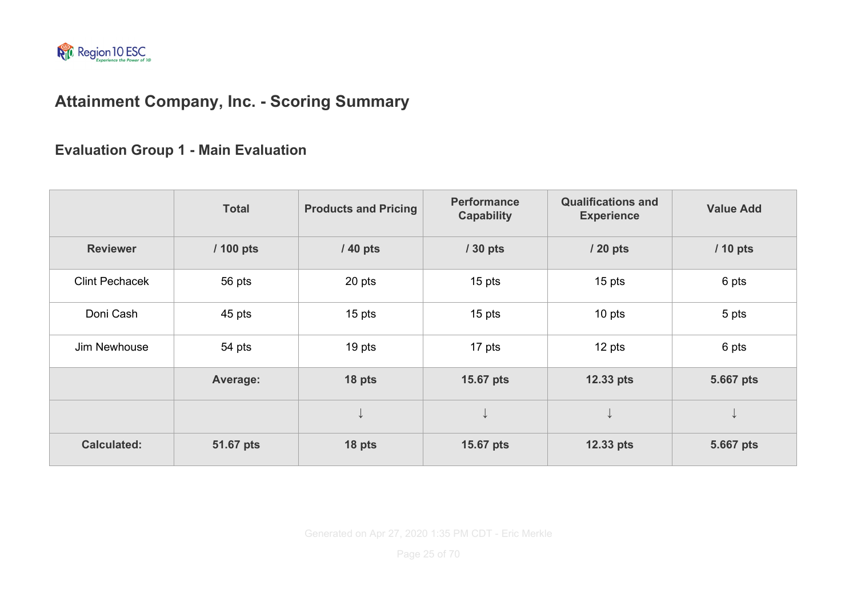

# **Attainment Company, Inc. - Scoring Summary**

**Evaluation Group 1 - Main Evaluation**

|                       | <b>Total</b> | <b>Products and Pricing</b> | <b>Performance</b><br><b>Capability</b> | <b>Qualifications and</b><br><b>Experience</b> | <b>Value Add</b> |
|-----------------------|--------------|-----------------------------|-----------------------------------------|------------------------------------------------|------------------|
| <b>Reviewer</b>       | / 100 pts    | / 40 pts                    | / 30 pts                                | / 20 pts                                       | / 10 pts         |
| <b>Clint Pechacek</b> | 56 pts       | 20 pts                      | 15 pts                                  | 15 pts                                         | 6 pts            |
| Doni Cash             | 45 pts       | 15 pts                      | 15 pts                                  | 10 pts                                         | 5 pts            |
| Jim Newhouse          | 54 pts       | 19 pts                      | 17 pts                                  | 12 pts                                         | 6 pts            |
|                       | Average:     | 18 pts                      | 15.67 pts                               | 12.33 pts                                      | 5.667 pts        |
|                       |              |                             | ↓                                       |                                                | ↓                |
| <b>Calculated:</b>    | 51.67 pts    | 18 pts                      | 15.67 pts                               | 12.33 pts                                      | 5.667 pts        |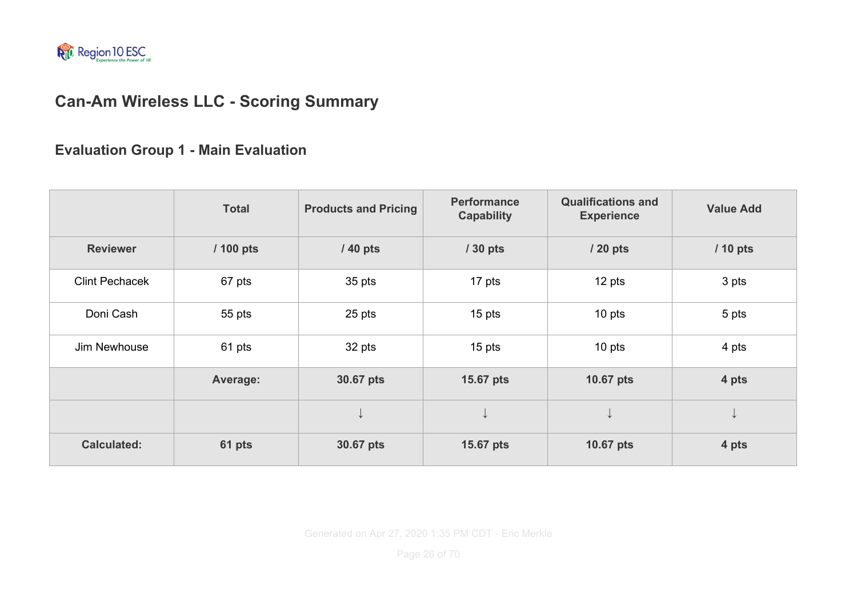

# **Can-Am Wireless LLC - Scoring Summary**

#### **Evaluation Group 1 - Main Evaluation**

|                       | <b>Total</b> | <b>Products and Pricing</b> | <b>Performance</b><br><b>Capability</b> | <b>Qualifications and</b><br><b>Experience</b> | <b>Value Add</b> |
|-----------------------|--------------|-----------------------------|-----------------------------------------|------------------------------------------------|------------------|
| <b>Reviewer</b>       | / 100 pts    | / 40 pts                    | / 30 pts                                | / 20 pts                                       | / 10 pts         |
| <b>Clint Pechacek</b> | 67 pts       | 35 pts                      | 17 pts                                  | 12 pts                                         | 3 pts            |
| Doni Cash             | 55 pts       | 25 pts                      | 15 pts                                  | $10$ pts                                       | 5 pts            |
| Jim Newhouse          | 61 pts       | 32 pts                      | 15 pts                                  | 10 pts                                         | 4 pts            |
|                       | Average:     | 30.67 pts                   | 15.67 pts                               | 10.67 pts                                      | 4 pts            |
|                       |              |                             | ↓                                       | ↓                                              | ╰                |
| <b>Calculated:</b>    | 61 pts       | 30.67 pts                   | 15.67 pts                               | 10.67 pts                                      | 4 pts            |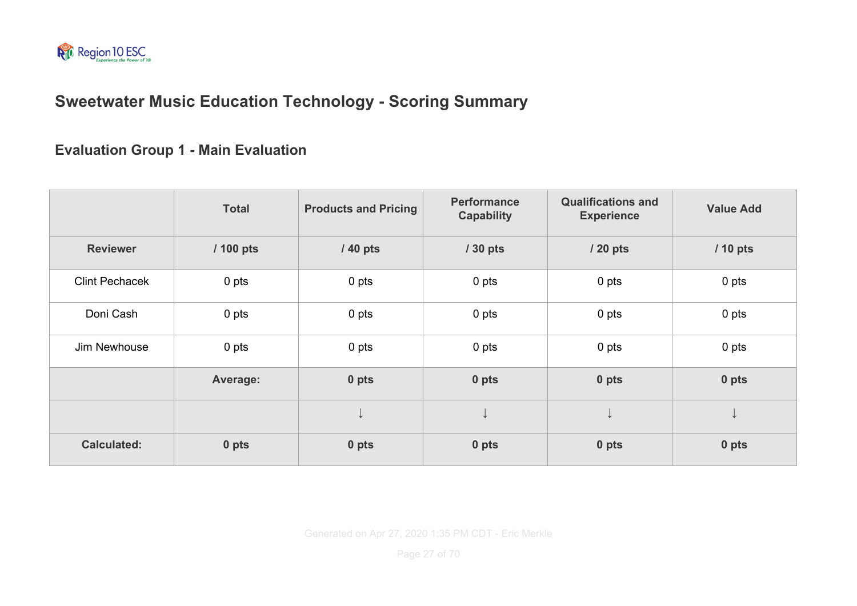

### **Sweetwater Music Education Technology - Scoring Summary**

#### **Evaluation Group 1 - Main Evaluation**

|                       | <b>Total</b> | <b>Products and Pricing</b> | <b>Performance</b><br><b>Capability</b> | <b>Qualifications and</b><br><b>Experience</b> | <b>Value Add</b> |
|-----------------------|--------------|-----------------------------|-----------------------------------------|------------------------------------------------|------------------|
| <b>Reviewer</b>       | / 100 pts    | / 40 pts                    | / 30 pts                                | / 20 pts                                       | / 10 pts         |
| <b>Clint Pechacek</b> | 0 pts        | 0 pts                       | 0 pts                                   | 0 pts                                          | 0 pts            |
| Doni Cash             | 0 pts        | 0 pts                       | 0 pts                                   | 0 pts                                          | 0 pts            |
| Jim Newhouse          | 0 pts        | 0 <sub>pts</sub>            | 0 pts                                   | 0 pts                                          | 0 pts            |
|                       | Average:     | 0 pts                       | 0 pts                                   | 0 pts                                          | 0 pts            |
|                       |              |                             | ↓                                       | V                                              | ◡                |
| <b>Calculated:</b>    | 0 pts        | 0 pts                       | 0 pts                                   | 0 pts                                          | 0 pts            |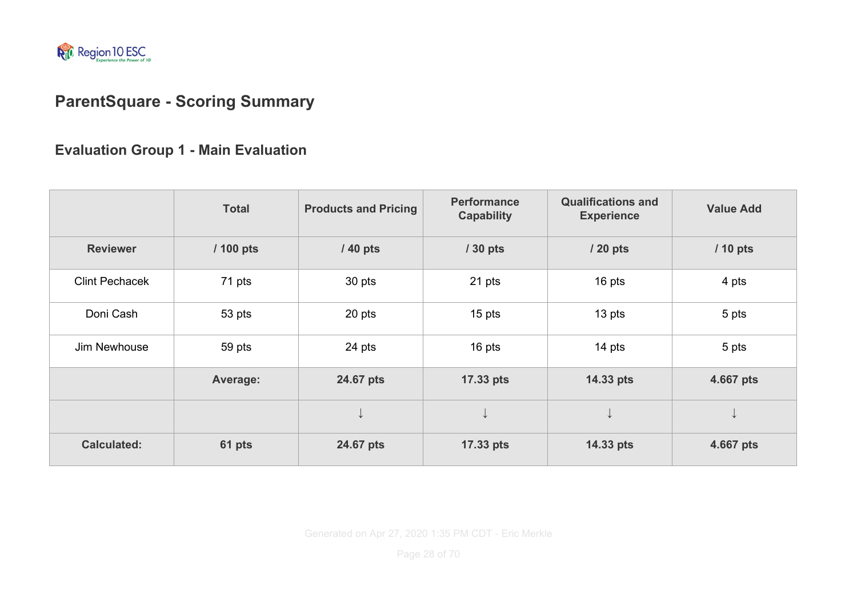

# **ParentSquare - Scoring Summary**

#### **Evaluation Group 1 - Main Evaluation**

|                       | <b>Total</b> | <b>Products and Pricing</b> | <b>Performance</b><br><b>Capability</b> | <b>Qualifications and</b><br><b>Experience</b> | <b>Value Add</b> |
|-----------------------|--------------|-----------------------------|-----------------------------------------|------------------------------------------------|------------------|
| <b>Reviewer</b>       | / 100 pts    | / 40 pts                    | / 30 pts                                | / 20 pts                                       | / 10 pts         |
| <b>Clint Pechacek</b> | 71 pts       | 30 pts                      | 21 pts                                  | 16 pts                                         | 4 pts            |
| Doni Cash             | 53 pts       | 20 pts                      | 15 pts                                  | 13 pts                                         | 5 pts            |
| Jim Newhouse          | 59 pts       | 24 pts                      | 16 pts                                  | 14 pts                                         | 5 pts            |
|                       | Average:     | 24.67 pts                   | 17.33 pts                               | 14.33 pts                                      | 4.667 pts        |
|                       |              | ◡                           | ↓                                       | ↓                                              | ╰┢               |
| <b>Calculated:</b>    | 61 pts       | 24.67 pts                   | 17.33 pts                               | 14.33 pts                                      | 4.667 pts        |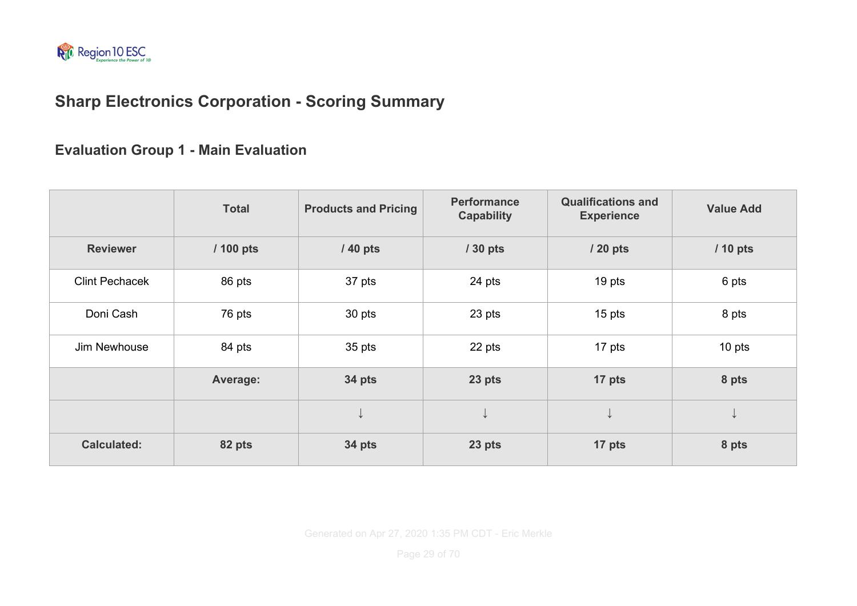

# **Sharp Electronics Corporation - Scoring Summary**

#### **Evaluation Group 1 - Main Evaluation**

|                       | <b>Total</b> | <b>Products and Pricing</b> | <b>Performance</b><br><b>Capability</b> | <b>Qualifications and</b><br><b>Experience</b> | <b>Value Add</b> |
|-----------------------|--------------|-----------------------------|-----------------------------------------|------------------------------------------------|------------------|
| <b>Reviewer</b>       | / 100 pts    | / 40 pts                    | / 30 pts                                | / 20 pts                                       | / 10 pts         |
| <b>Clint Pechacek</b> | 86 pts       | 37 pts                      | 24 pts                                  | 19 pts                                         | 6 pts            |
| Doni Cash             | 76 pts       | 30 pts                      | 23 pts                                  | $15$ pts                                       | 8 pts            |
| Jim Newhouse          | 84 pts       | 35 pts                      | 22 pts                                  | 17 pts                                         | 10 pts           |
|                       | Average:     | 34 pts                      | 23 pts                                  | 17 pts                                         | 8 pts            |
|                       |              |                             | ↓                                       | ↓                                              | ◡                |
| <b>Calculated:</b>    | 82 pts       | 34 pts                      | 23 pts                                  | 17 pts                                         | 8 pts            |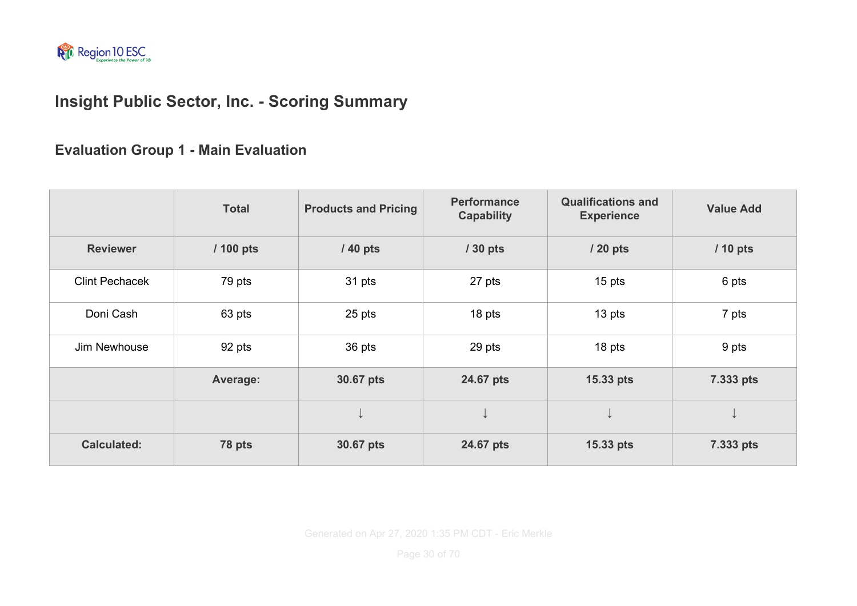

# **Insight Public Sector, Inc. - Scoring Summary**

**Evaluation Group 1 - Main Evaluation**

|                       | <b>Total</b> | <b>Products and Pricing</b> | <b>Performance</b><br><b>Capability</b> | <b>Qualifications and</b><br><b>Experience</b> | <b>Value Add</b> |
|-----------------------|--------------|-----------------------------|-----------------------------------------|------------------------------------------------|------------------|
| <b>Reviewer</b>       | / 100 pts    | $/40$ pts                   | / 30 pts                                | / 20 pts                                       | / 10 pts         |
| <b>Clint Pechacek</b> | 79 pts       | 31 pts                      | 27 pts                                  | 15 pts                                         | 6 pts            |
| Doni Cash             | 63 pts       | 25 pts                      | 18 pts                                  | 13 pts                                         | 7 pts            |
| Jim Newhouse          | 92 pts       | 36 pts                      | 29 pts                                  | 18 pts                                         | 9 pts            |
|                       | Average:     | 30.67 pts                   | 24.67 pts                               | 15.33 pts                                      | 7.333 pts        |
|                       |              |                             | V                                       | ↓                                              | V                |
| <b>Calculated:</b>    | 78 pts       | 30.67 pts                   | 24.67 pts                               | 15.33 pts                                      | 7.333 pts        |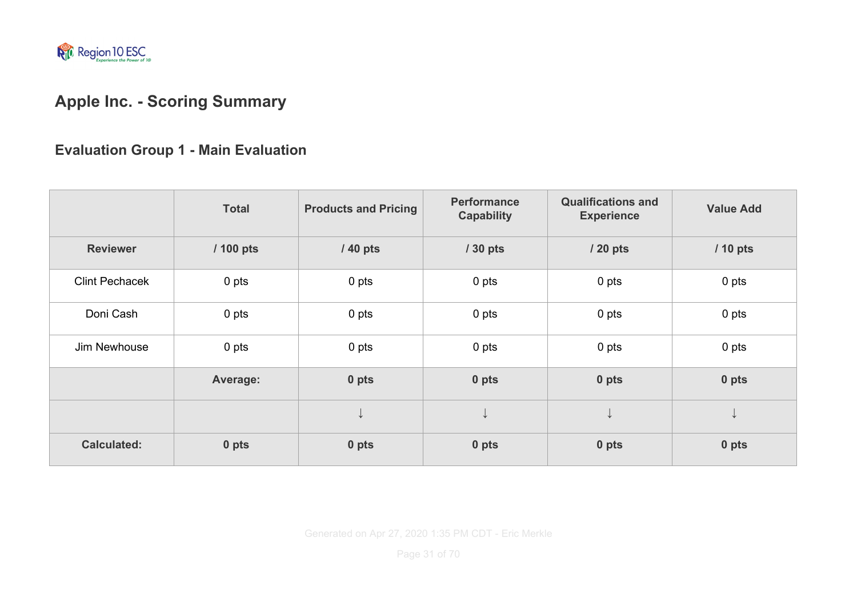

# **Apple Inc. - Scoring Summary**

### **Evaluation Group 1 - Main Evaluation**

|                       | <b>Total</b> | <b>Products and Pricing</b> | <b>Performance</b><br><b>Capability</b> | <b>Qualifications and</b><br><b>Experience</b> | <b>Value Add</b> |
|-----------------------|--------------|-----------------------------|-----------------------------------------|------------------------------------------------|------------------|
| <b>Reviewer</b>       | / 100 pts    | / 40 pts                    | / 30 pts                                | / 20 pts                                       | / 10 pts         |
| <b>Clint Pechacek</b> | 0 pts        | 0 pts                       | 0 pts                                   | 0 pts                                          | 0 pts            |
| Doni Cash             | 0 pts        | 0 <sub>pts</sub>            | 0 pts                                   | 0 pts                                          | 0 pts            |
| Jim Newhouse          | 0 pts        | 0 pts                       | 0 pts                                   | 0 pts                                          | 0 pts            |
|                       | Average:     | 0 pts                       | 0 pts                                   | 0 pts                                          | 0 pts            |
|                       |              |                             | ↓                                       | ↓                                              | ╰┢               |
| <b>Calculated:</b>    | 0 pts        | 0 pts                       | 0 pts                                   | 0 pts                                          | 0 pts            |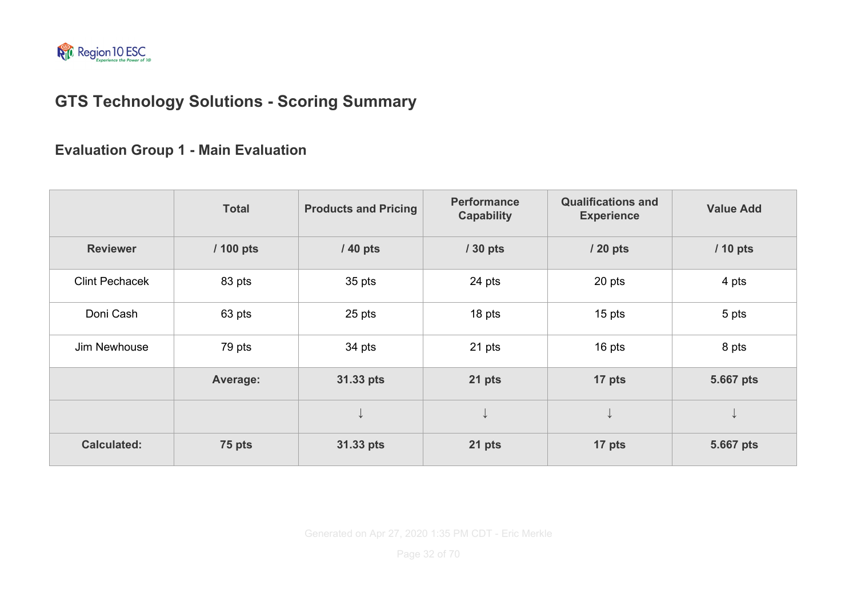

# **GTS Technology Solutions - Scoring Summary**

**Evaluation Group 1 - Main Evaluation**

|                       | <b>Total</b> | <b>Products and Pricing</b> | <b>Performance</b><br><b>Capability</b> | <b>Qualifications and</b><br><b>Experience</b> | <b>Value Add</b> |
|-----------------------|--------------|-----------------------------|-----------------------------------------|------------------------------------------------|------------------|
| <b>Reviewer</b>       | / 100 pts    | / 40 pts                    | / 30 pts                                | / 20 pts                                       | / 10 pts         |
| <b>Clint Pechacek</b> | 83 pts       | 35 pts                      | 24 pts                                  | 20 pts                                         | 4 pts            |
| Doni Cash             | 63 pts       | 25 pts                      | 18 pts                                  | 15 pts                                         | 5 pts            |
| Jim Newhouse          | 79 pts       | 34 pts                      | 21 pts                                  | 16 pts                                         | 8 pts            |
|                       | Average:     | 31.33 pts                   | 21 pts                                  | 17 pts                                         | 5.667 pts        |
|                       |              |                             | ↓                                       | ↓                                              | ↓                |
| <b>Calculated:</b>    | 75 pts       | 31.33 pts                   | 21 pts                                  | 17 pts                                         | 5.667 pts        |